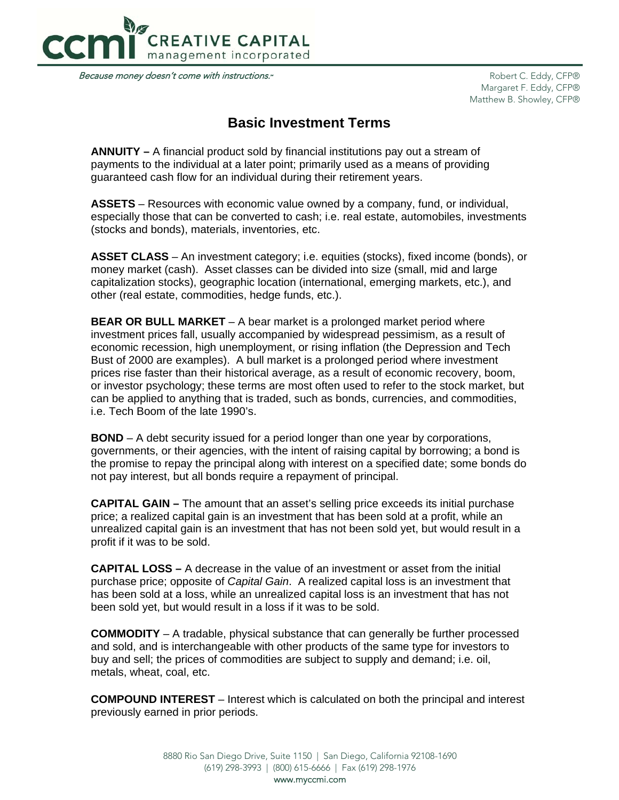

Because money doesn't come with instructions.\*

Robert C. Eddy, CFP® Margaret F. Eddy, CFP® Matthew B. Showley, CFP®

# **Basic Investment Terms**

**ANNUITY –** A financial product sold by financial institutions pay out a stream of payments to the individual at a later point; primarily used as a means of providing guaranteed cash flow for an individual during their retirement years.

**ASSETS** – Resources with economic value owned by a company, fund, or individual, especially those that can be converted to cash; i.e. real estate, automobiles, investments (stocks and bonds), materials, inventories, etc.

**ASSET CLASS** – An investment category; i.e. equities (stocks), fixed income (bonds), or money market (cash). Asset classes can be divided into size (small, mid and large capitalization stocks), geographic location (international, emerging markets, etc.), and other (real estate, commodities, hedge funds, etc.).

**BEAR OR BULL MARKET** – A bear market is a prolonged market period where investment prices fall, usually accompanied by widespread pessimism, as a result of economic recession, high unemployment, or rising inflation (the Depression and Tech Bust of 2000 are examples). A bull market is a prolonged period where investment prices rise faster than their historical average, as a result of economic recovery, boom, or investor psychology; these terms are most often used to refer to the stock market, but can be applied to anything that is traded, such as bonds, currencies, and commodities, i.e. Tech Boom of the late 1990's.

**BOND** – A debt security issued for a period longer than one year by corporations, governments, or their agencies, with the intent of raising capital by borrowing; a bond is the promise to repay the principal along with interest on a specified date; some bonds do not pay interest, but all bonds require a repayment of principal.

**CAPITAL GAIN –** The amount that an asset's selling price exceeds its initial purchase price; a realized capital gain is an investment that has been sold at a profit, while an unrealized capital gain is an investment that has not been sold yet, but would result in a profit if it was to be sold.

**CAPITAL LOSS –** A decrease in the value of an investment or asset from the initial purchase price; opposite of *Capital Gain*. A realized capital loss is an investment that has been sold at a loss, while an unrealized capital loss is an investment that has not been sold yet, but would result in a loss if it was to be sold.

**COMMODITY** – A tradable, physical substance that can generally be further processed and sold, and is interchangeable with other products of the same type for investors to buy and sell; the prices of commodities are subject to supply and demand; i.e. oil, metals, wheat, coal, etc.

**COMPOUND INTEREST** – Interest which is calculated on both the principal and interest previously earned in prior periods.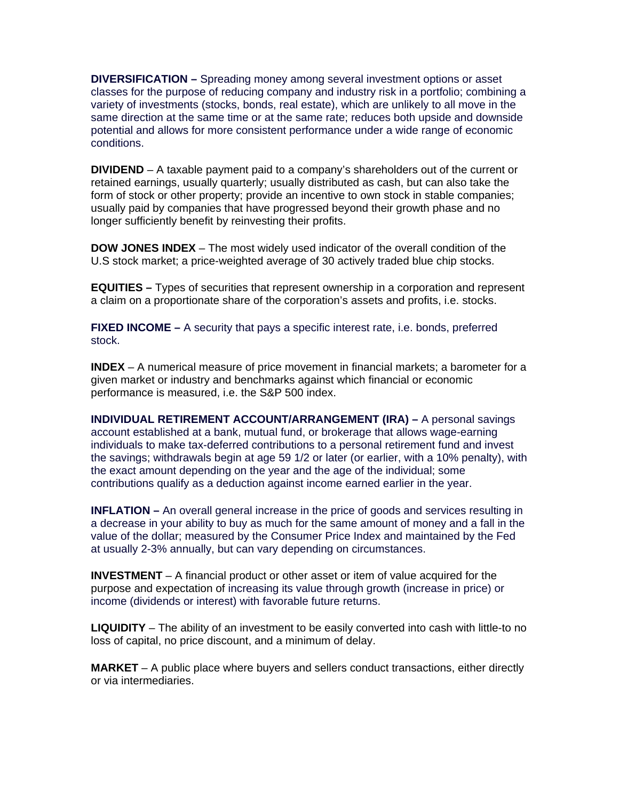**DIVERSIFICATION –** Spreading money among several investment options or asset classes for the purpose of reducing company and industry risk in a portfolio; combining a variety of investments (stocks, bonds, real estate), which are unlikely to all move in the same direction at the same time or at the same rate; reduces both upside and downside potential and allows for more consistent performance under a wide range of economic conditions.

**DIVIDEND** – A taxable payment paid to a company's shareholders out of the current or retained earnings, usually quarterly; usually distributed as cash, but can also take the form of stock or other property; provide an incentive to own stock in stable companies; usually paid by companies that have progressed beyond their growth phase and no longer sufficiently benefit by reinvesting their profits.

**DOW JONES INDEX** – The most widely used indicator of the overall condition of the U.S stock market; a price-weighted average of 30 actively traded blue chip stocks.

**EQUITIES –** Types of securities that represent ownership in a corporation and represent a claim on a proportionate share of the corporation's assets and profits, i.e. stocks.

**FIXED INCOME –** A security that pays a specific interest rate, i.e. bonds, preferred stock.

**INDEX** – A numerical measure of price movement in financial markets; a barometer for a given market or industry and benchmarks against which financial or economic performance is measured, i.e. the S&P 500 index.

**INDIVIDUAL RETIREMENT ACCOUNT/ARRANGEMENT (IRA) – A personal savings** account established at a bank, mutual fund, or brokerage that allows wage-earning individuals to make tax-deferred contributions to a personal retirement fund and invest the savings; withdrawals begin at age 59 1/2 or later (or earlier, with a 10% penalty), with the exact amount depending on the year and the age of the individual; some contributions qualify as a deduction against income earned earlier in the year.

**INFLATION –** An overall general increase in the price of goods and services resulting in a decrease in your ability to buy as much for the same amount of money and a fall in the value of the dollar; measured by the Consumer Price Index and maintained by the Fed at usually 2-3% annually, but can vary depending on circumstances.

**INVESTMENT** – A financial product or other asset or item of value acquired for the purpose and expectation of increasing its value through growth (increase in price) or income (dividends or interest) with favorable future returns.

**LIQUIDITY** – The ability of an investment to be easily converted into cash with little-to no loss of capital, no price discount, and a minimum of delay.

**MARKET** – A public place where buyers and sellers conduct transactions, either directly or via intermediaries.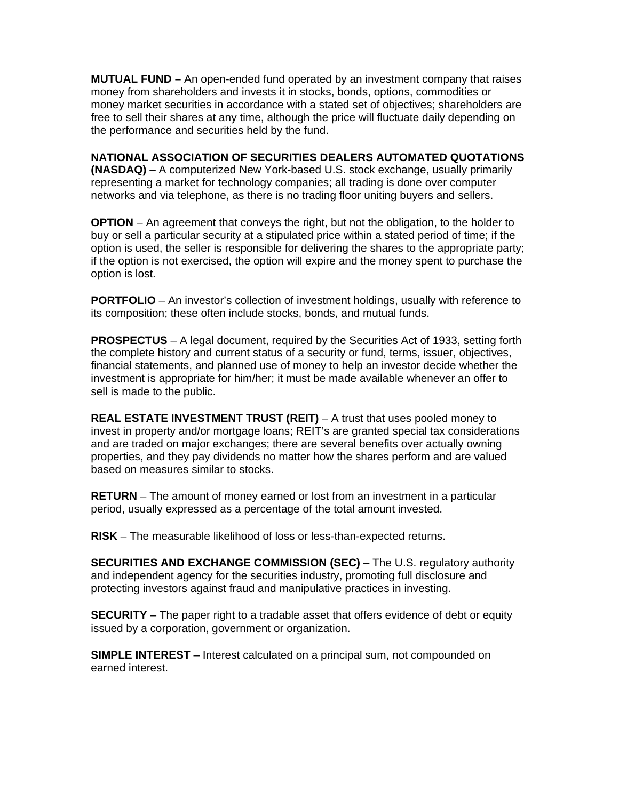**MUTUAL FUND –** An open-ended fund operated by an investment company that raises money from shareholders and invests it in stocks, bonds, options, commodities or money market securities in accordance with a stated set of objectives; shareholders are free to sell their shares at any time, although the price will fluctuate daily depending on the performance and securities held by the fund.

**NATIONAL ASSOCIATION OF SECURITIES DEALERS AUTOMATED QUOTATIONS (NASDAQ)** – A computerized New York-based U.S. stock exchange, usually primarily representing a market for technology companies; all trading is done over computer networks and via telephone, as there is no trading floor uniting buyers and sellers.

**OPTION** – An agreement that conveys the right, but not the obligation, to the holder to buy or sell a particular security at a stipulated price within a stated period of time; if the option is used, the seller is responsible for delivering the shares to the appropriate party; if the option is not exercised, the option will expire and the money spent to purchase the option is lost.

**PORTFOLIO** – An investor's collection of investment holdings, usually with reference to its composition; these often include stocks, bonds, and mutual funds.

**PROSPECTUS** – A legal document, required by the Securities Act of 1933, setting forth the complete history and current status of a security or fund, terms, issuer, objectives, financial statements, and planned use of money to help an investor decide whether the investment is appropriate for him/her; it must be made available whenever an offer to sell is made to the public.

**REAL ESTATE INVESTMENT TRUST (REIT)** – A trust that uses pooled money to invest in property and/or mortgage loans; REIT's are granted special tax considerations and are traded on major exchanges; there are several benefits over actually owning properties, and they pay dividends no matter how the shares perform and are valued based on measures similar to stocks.

**RETURN** – The amount of money earned or lost from an investment in a particular period, usually expressed as a percentage of the total amount invested.

**RISK** – The measurable likelihood of loss or less-than-expected returns.

**SECURITIES AND EXCHANGE COMMISSION (SEC)** – The U.S. regulatory authority and independent agency for the securities industry, promoting full disclosure and protecting investors against fraud and manipulative practices in investing.

**SECURITY** – The paper right to a tradable asset that offers evidence of debt or equity issued by a corporation, government or organization.

**SIMPLE INTEREST** – Interest calculated on a principal sum, not compounded on earned interest.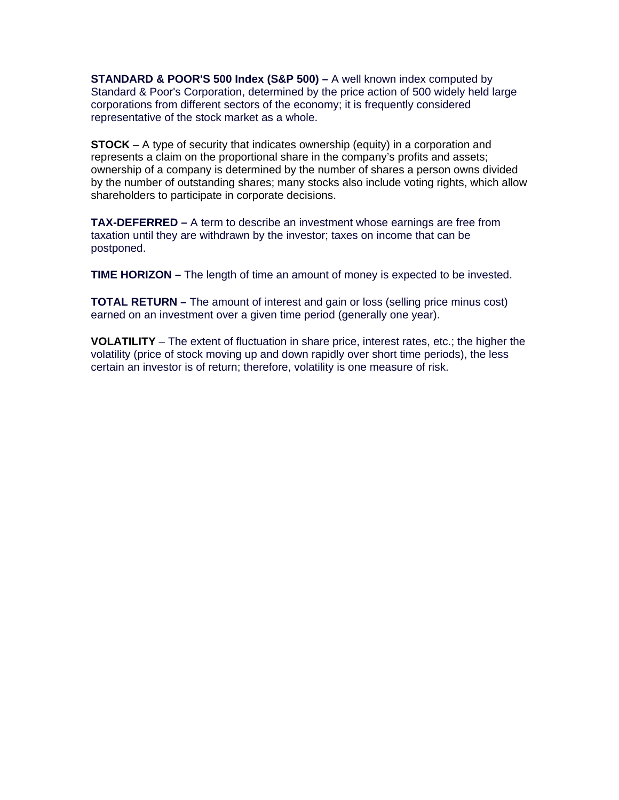**STANDARD & POOR'S 500 Index (S&P 500) –** A well known index computed by Standard & Poor's Corporation, determined by the price action of 500 widely held large corporations from different sectors of the economy; it is frequently considered representative of the stock market as a whole.

**STOCK** – A type of security that indicates ownership (equity) in a corporation and represents a claim on the proportional share in the company's profits and assets; ownership of a company is determined by the number of shares a person owns divided by the number of outstanding shares; many stocks also include voting rights, which allow shareholders to participate in corporate decisions.

**TAX-DEFERRED –** A term to describe an investment whose earnings are free from taxation until they are withdrawn by the investor; taxes on income that can be postponed.

**TIME HORIZON –** The length of time an amount of money is expected to be invested.

**TOTAL RETURN –** The amount of interest and gain or loss (selling price minus cost) earned on an investment over a given time period (generally one year).

**VOLATILITY** – The extent of fluctuation in share price, interest rates, etc.; the higher the volatility (price of stock moving up and down rapidly over short time periods), the less certain an investor is of return; therefore, volatility is one measure of risk.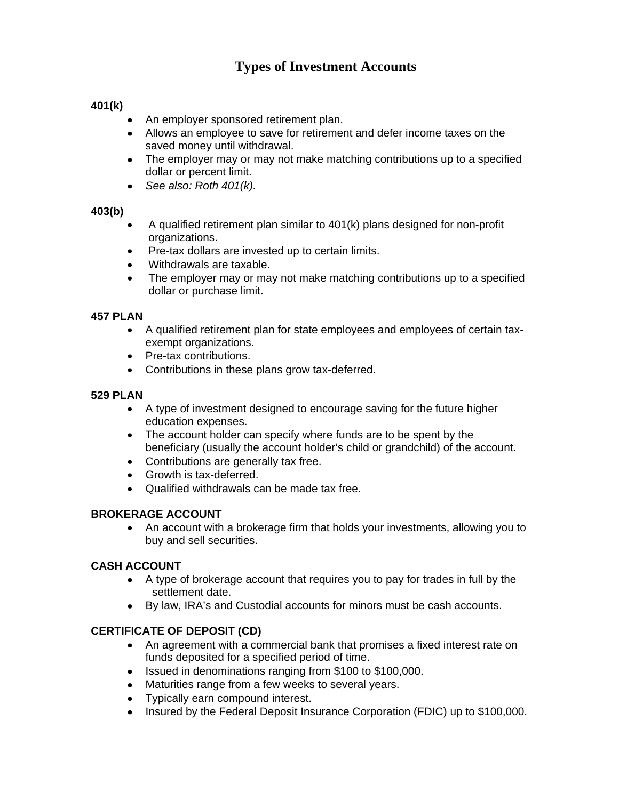# **Types of Investment Accounts**

# **401(k)**

- An employer sponsored retirement plan.
- Allows an employee to save for retirement and defer income taxes on the saved money until withdrawal.
- The employer may or may not make matching contributions up to a specified dollar or percent limit.
- *See also: Roth 401(k).*

# **403(b)**

- A qualified retirement plan similar to 401(k) plans designed for non-profit organizations.
- Pre-tax dollars are invested up to certain limits.
- Withdrawals are taxable.
- The employer may or may not make matching contributions up to a specified dollar or purchase limit.

#### **457 PLAN**

- A qualified retirement plan for state employees and employees of certain taxexempt organizations.
- Pre-tax contributions.
- Contributions in these plans grow tax-deferred.

#### **529 PLAN**

- A type of investment designed to encourage saving for the future higher education expenses.
- The account holder can specify where funds are to be spent by the beneficiary (usually the account holder's child or grandchild) of the account.
- Contributions are generally tax free.
- Growth is tax-deferred.
- Qualified withdrawals can be made tax free.

#### **BROKERAGE ACCOUNT**

 An account with a brokerage firm that holds your investments, allowing you to buy and sell securities.

#### **CASH ACCOUNT**

- A type of brokerage account that requires you to pay for trades in full by the settlement date.
- By law, IRA's and Custodial accounts for minors must be cash accounts.

#### **CERTIFICATE OF DEPOSIT (CD)**

- An agreement with a commercial bank that promises a fixed interest rate on funds deposited for a specified period of time.
- Issued in denominations ranging from \$100 to \$100,000.
- Maturities range from a few weeks to several years.
- Typically earn compound interest.
- Insured by the Federal Deposit Insurance Corporation (FDIC) up to \$100,000.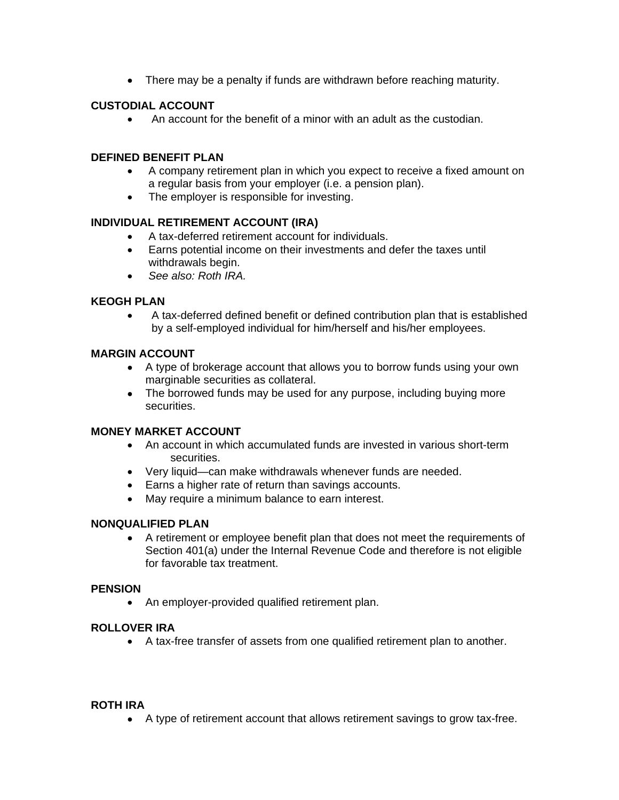• There may be a penalty if funds are withdrawn before reaching maturity.

# **CUSTODIAL ACCOUNT**

An account for the benefit of a minor with an adult as the custodian.

#### **DEFINED BENEFIT PLAN**

- A company retirement plan in which you expect to receive a fixed amount on a regular basis from your employer (i.e. a pension plan).
- The employer is responsible for investing.

#### **INDIVIDUAL RETIREMENT ACCOUNT (IRA)**

- A tax-deferred retirement account for individuals.
- Earns potential income on their investments and defer the taxes until withdrawals begin.
- *See also: Roth IRA.*

#### **KEOGH PLAN**

 A tax-deferred defined benefit or defined contribution plan that is established by a self-employed individual for him/herself and his/her employees.

#### **MARGIN ACCOUNT**

- A type of brokerage account that allows you to borrow funds using your own marginable securities as collateral.
- The borrowed funds may be used for any purpose, including buying more securities.

#### **MONEY MARKET ACCOUNT**

- An account in which accumulated funds are invested in various short-term securities.
- Very liquid—can make withdrawals whenever funds are needed.
- Earns a higher rate of return than savings accounts.
- May require a minimum balance to earn interest.

#### **NONQUALIFIED PLAN**

 A retirement or employee benefit plan that does not meet the requirements of Section 401(a) under the Internal Revenue Code and therefore is not eligible for favorable tax treatment.

#### **PENSION**

• An employer-provided qualified retirement plan.

#### **ROLLOVER IRA**

A tax-free transfer of assets from one qualified retirement plan to another.

#### **ROTH IRA**

A type of retirement account that allows retirement savings to grow tax-free.